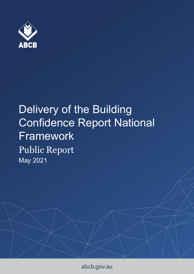

# Delivery of the Building Confidence Report National Framework Public Report May 2021

abcb.gov.au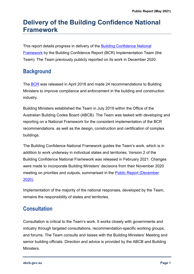## **Delivery of the Building Confidence National Framework**

This report details progress in delivery of the [Building Confidence National](https://www.abcb.gov.au/Resources/Publications/Corporate/Building-Confidence-National-Framework)  [Framework](https://www.abcb.gov.au/Resources/Publications/Corporate/Building-Confidence-National-Framework) by the Building Confidence Report (BCR) Implementation Team (the Team). The Team previously publicly reported on its work in December 2020.

## **Background**

The [BCR](https://www.industry.gov.au/data-and-publications/building-confidence-building-ministers-forum-expert-assessment) was released in April 2018 and made 24 recommendations to Building Ministers to improve compliance and enforcement in the building and construction industry.

Building Ministers established the Team in July 2019 within the Office of the Australian Building Codes Board (ABCB). The Team was tasked with developing and reporting on a National Framework for the consistent implementation of the BCR recommendations, as well as the design, construction and certification of complex buildings.

The Building Confidence National Framework guides the Team's work, which is in addition to work underway in individual states and territories. Version 2 of the Building Confidence National Framework was released in February 2021. Changes were made to incorporate Building Ministers' decisions from their November 2020 meeting on priorities and outputs, summarised in the [Public Report \(December](https://www.abcb.gov.au/Resources/Publications/Corporate/Public-report-delivery-of-the-BCR-national-framework-December-2020)  [2020\).](https://www.abcb.gov.au/Resources/Publications/Corporate/Public-report-delivery-of-the-BCR-national-framework-December-2020)

Implementation of the majority of the national responses, developed by the Team, remains the responsibility of states and territories.

## **Consultation**

Consultation is critical to the Team's work. It works closely with governments and industry through targeted consultations, recommendation-specific working groups, and forums. The Team consults and liaises with the Building Ministers' Meeting and senior building officials. Direction and advice is provided by the ABCB and Building **Ministers**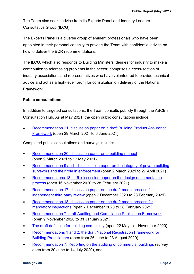The Team also seeks advice from its Experts Panel and Industry Leaders Consultative Group (ILCG).

The Experts Panel is a diverse group of eminent professionals who have been appointed in their personal capacity to provide the Team with confidential advice on how to deliver the BCR recommendations.

The ILCG, which also responds to Building Ministers' desires for industry to make a contribution to addressing problems in the sector, comprises a cross-section of industry associations and representatives who have volunteered to provide technical advice and act as a high-level forum for consultation on delivery of the National Framework.

#### **Public consultations**

In addition to targeted consultations, the Team consults publicly through the ABCB's Consultation Hub. As at May 2021, the open public consultations include:

 [Recommendation 21: discussion paper on a draft Building Product Assurance](https://consultation.abcb.gov.au/engagement/draft-national-building-product-assurance-framewor/)  [Framework](https://consultation.abcb.gov.au/engagement/draft-national-building-product-assurance-framewor/) (open 29 March 2021 to 6 June 2021).

Completed public consultations and surveys include:

- [Recommendation 20: discussion paper on a building manual](https://consultation.abcb.gov.au/engagement/building-manuals/) (open 9 March 2021 to 17 May 2021)
- Recommendation 9 and 11: discussion paper on the integrity of private building [surveyors and their role in enforcement](https://consultation.abcb.gov.au/engagement/copy-of-discussion-paper-integrity-of-private-buil/) (open 2 March 2021 to 27 April 2021)
- Recommendations  $13 16$ : discussion paper on the design documentation [process](https://consultation.abcb.gov.au/engagement/building-design-acceptance/) (open 16 November 2020 to 28 February 2021)
- [Recommendation 17: discussion paper on the draft model process for](https://consultation.abcb.gov.au/engagement/independent-third-party-review/)  [independent third party review](https://consultation.abcb.gov.au/engagement/independent-third-party-review/) (open 7 December 2020 to 28 February 2021)
- [Recommendation 18: discussion paper on the draft model process for](https://consultation.abcb.gov.au/engagement/mandatory-inspections/)  [mandatory inspections](https://consultation.abcb.gov.au/engagement/mandatory-inspections/) (open 7 December 2020 to 28 February 2021)
- [Recommendation 7: draft Auditing and Compliance Publication Framework](https://consultation.abcb.gov.au/engagement/auditing-and-compliance-publication-framework/) (open 9 November 2020 to 31 January 2021)
- [The draft definition for building complexity](https://consultation.abcb.gov.au/engagement/definition-for-building-complexity/) (open 22 May to 1 November 2020).
- [Recommendations 1 and 2: the draft National Registration Framework for](https://consultation.abcb.gov.au/engagement/dp-national-registration-framework/)  [Building Practitioners](https://consultation.abcb.gov.au/engagement/dp-national-registration-framework/) (open from 26 June to 23 August 2020)
- [Recommendation 7: Reporting on the auditing of commercial buildings](https://consultation.abcb.gov.au/engagement/reporting-on-the-auditing-of-commercial-buildings/) (survey open from 30 June to 14 July 2020), and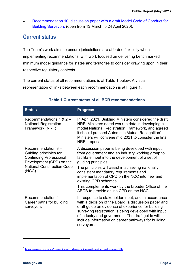[Recommendation 10: discussion paper with a draft Model Code of Conduct for](https://consultation.abcb.gov.au/engagement/discussion-paper-nmcoc-bs/)  [Building Surveyors](https://consultation.abcb.gov.au/engagement/discussion-paper-nmcoc-bs/) (open from 13 March to 24 April 2020).

### **Current status**

The Team's work aims to ensure jurisdictions are afforded flexibility when implementing recommendations, with work focused on delivering benchmarked minimum model guidance for states and territories to consider drawing upon in their respective regulatory contexts.

The current status of all recommendations is at Table 1 below. A visual representation of links between each recommendation is at Figure 1.

| <b>Status</b>                                                                                                                                           | <b>Progress</b>                                                                                                                                                                                                                                                                                                                                                                                                                                           |
|---------------------------------------------------------------------------------------------------------------------------------------------------------|-----------------------------------------------------------------------------------------------------------------------------------------------------------------------------------------------------------------------------------------------------------------------------------------------------------------------------------------------------------------------------------------------------------------------------------------------------------|
| Recommendations 1 & 2 -<br><b>National Registration</b><br>Framework (NRF)                                                                              | In April 2021, Building Ministers considered the draft<br>NRF. Ministers noted work to date in developing a<br>model National Registration Framework, and agreed<br>it should preceed Automatic Mutual Recognition <sup>1</sup> .<br>Ministers will convene mid 2021 to consider the final<br>NRF proposal.                                                                                                                                               |
| Recommendation 3-<br>Guiding principles for<br><b>Continuing Professional</b><br>Development (CPD) on the<br><b>National Construction Code</b><br>(NCC) | A discussion paper is being developed with input<br>from government and an industry working group to<br>facilitate input into the development of a set of<br>guiding principles.<br>The principles will assist in achieving nationally<br>consistent mandatory requirements and<br>implementation of CPD on the NCC into new and<br>existing CPD schemes.<br>This complements work by the broader Office of the<br>ABCB to provide online CPD on the NCC. |
| Recommendation 4 -<br>Career paths for building<br>surveyors                                                                                            | In response to stakeholder input, and in accordance<br>with a decision of the Board, a discussion paper and<br>draft guide on evidence of experience for building<br>surveying registration is being developed with input<br>of industry and government. The draft guide will<br>include information on career pathways for building<br>surveyors.                                                                                                        |

#### **Table 1 Current status of all BCR recommendations**

<sup>1</sup> <https://www.pmc.gov.au/domestic-policy/deregulation-taskforce/occupational-mobility>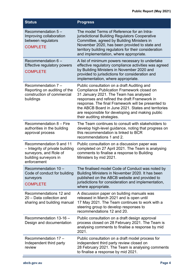| <b>Status</b>                                                                                                                | <b>Progress</b>                                                                                                                                                                                                                                                                                                                                                                           |
|------------------------------------------------------------------------------------------------------------------------------|-------------------------------------------------------------------------------------------------------------------------------------------------------------------------------------------------------------------------------------------------------------------------------------------------------------------------------------------------------------------------------------------|
| Recommendation $5-$<br>Improving collaboration<br>between regulators<br><b>COMPLETE</b>                                      | The model Terms of Reference for an Intra-<br>jurisdictional Building Regulators Cooperative<br>Committee, agreed by Building Ministers in<br>November 2020, has been provided to state and<br>territory building regulators for their consideration<br>and implementation, where appropriate.                                                                                            |
| Recommendation 6 -<br><b>Effective regulatory powers</b><br><b>COMPLETE</b>                                                  | A list of minimum powers necessary to undertake<br>effective regulatory compliance activities was agreed<br>by Building Ministers in November 2020 and<br>provided to jurisdictions for consideration and<br>implementation, where appropriate.                                                                                                                                           |
| Recommendation 7 -<br>Reporting on auditing of the<br>construction of commercial<br>buildings                                | Public consultation on a draft Auditing and<br><b>Compliance Publication Framework closed on</b><br>31 January 2021. The Team has analysed<br>responses and refined the draft Framework in<br>response. The final Framework will be presented to<br>the ABCB Board in June 2021. States and territories<br>are responsible for developing and making public<br>their auditing strategies. |
| Recommendation 8 - Fire<br>authorities in the building<br>approval process                                                   | The Team continues to consult with stakeholders to<br>develop high-level guidance, noting that progress on<br>this recommendation is linked to BCR<br>recommendations 1 and 2.                                                                                                                                                                                                            |
| Recommendation 9 and 11<br>- Integrity of private building<br>surveyors, and Role of<br>building surveyors in<br>enforcement | Public consultation on a discussion paper was<br>completed on 27 April 2021. The Team is analysing<br>comments to finalise a response to Building<br>Ministers by mid 2021.                                                                                                                                                                                                               |
| Recommendation 10 -<br>Code of conduct for building<br>surveyors<br><b>COMPLETE</b>                                          | The finalised model Code of Conduct was noted by<br>Building Ministers in November 2020. It has been<br>published on the ABCB website and provided to<br>jurisdictions for consideration and implementation,<br>where appropriate.                                                                                                                                                        |
| Recommendations 12 and<br>20 - Data collection and<br>sharing and building manual                                            | A discussion paper on building manuals was<br>released in March 2021 and is open until<br>17 May 2021. The Team continues to work with a<br>steering group to develop responses to<br>recommendations 12 and 20.                                                                                                                                                                          |
| Recommendation 13-16 -<br>Design and documentation                                                                           | Public consultation on a draft design approval<br>process closed on 28 February 2021. The Team is<br>analysing comments to finalise a response by mid<br>2021.                                                                                                                                                                                                                            |
| Recommendation 17 -<br>Independent third party<br>review                                                                     | Public consultation on a draft model process for<br>independent third party review closed on<br>28 February 2021. The Team is analysing comments<br>to finalise a response by mid 2021.                                                                                                                                                                                                   |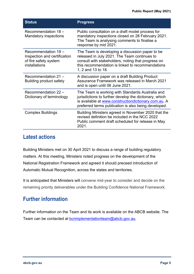| <b>Status</b>                                                                                 | <b>Progress</b>                                                                                                                                                                                                                 |
|-----------------------------------------------------------------------------------------------|---------------------------------------------------------------------------------------------------------------------------------------------------------------------------------------------------------------------------------|
| Recommendation 18 -<br><b>Mandatory inspections</b>                                           | Public consultation on a draft model process for<br>mandatory inspections closed on 28 February 2021.<br>The Team is analysing comments to finalise a<br>response by mid 2021.                                                  |
| Recommendation 19 -<br>Inspection and certification<br>of fire safety system<br>installations | The Team is developing a discussion paper to be<br>released in July 2021. The Team continues to<br>consult with stakeholders, noting that progress on<br>this recommendation is linked to recommendations<br>1, 2 and 13 to 18. |
| Recommendation 21 -<br><b>Building product safety</b>                                         | A discussion paper on a draft Building Product<br>Assurance Framework was released in March 2021<br>and is open until 06 June 2021.                                                                                             |
| Recommendation 22 -<br>Dictionary of terminology                                              | The Team is working with Standards Australia and<br>jurisdictions to further develop the dictionary, which<br>is available at www.constructiondictionary.com.au. A<br>preferred terms publication is also being developed.      |
| <b>Complex Buildings</b>                                                                      | Building Ministers agreed in November 2020 that the<br>revised definition be included in the NCC 2022<br>Public comment draft scheduled for release in May<br>2021.                                                             |

#### **Latest actions**

Building Ministers met on 30 April 2021 to discuss a range of building regulatory matters. At this meeting, Ministers noted progress on the development of the National Registration Framework and agreed it should preceed introduction of Automatic Mutual Recognition, across the states and territories.

It is anticipated that Ministers will convene mid-year to consider and decide on the remaining priority deliverables under the Building Confidence National Framework.

### **Further information**

Further information on the Team and its work is available on the ABCB website. The Team can be contacted at [bcrimplementationteam@abcb.gov.au](mailto:bcrimplementationteam@abcb.gov.au).